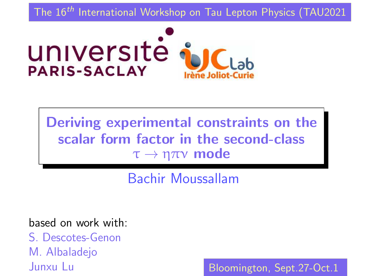<span id="page-0-0"></span>The 16<sup>th</sup> International Workshop on Tau Lepton Physics (TAU2021



Deriving experimental constraints on the scalar form factor in the second-class  $τ \rightarrow ηπν$  mode

Bachir Moussallam

based on work with:

S. Descotes-Genon M. Albaladejo Junxu Lu

Bloo[min](#page-0-0)[gt](#page-1-0)[on,](#page-0-0) [S](#page-1-0)[ep](#page-0-0)[t.](#page-19-0)[27](#page-0-0)[-O](#page-19-0)[ct.](#page-0-0)[1](#page-19-0)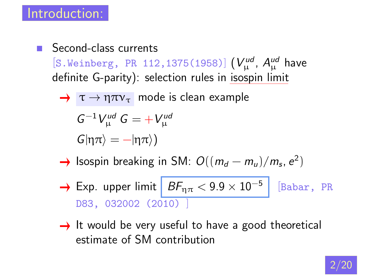<span id="page-1-0"></span>Second-class currents  $\sim 10^{-11}$ [S.Weinberg, PR 112,1375(1958)]  $(V^{ud}_\mu, A^{ud}_\mu$  have definite G-parity): selection rules in isospin limit

$$
\rightarrow \tau \rightarrow \eta \pi v_{\tau}
$$
 mode is clean example

$$
G^{-1}V_{\mu}^{ud} G = +V_{\mu}^{ud}
$$

$$
G|\eta\pi\rangle = -|\eta\pi\rangle)
$$

- Isospin breaking in SM:  $O((m_d m_u)/m_s, e^2)$
- $\rightarrow$  Exp. upper limit  $BF_{n\pi} < 9.9 \times 10^{-5}$ [Babar, PR D83, 032002 (2010) ]
- $\rightarrow$  It would be very useful to have a good theoretical estimate of SM contribution

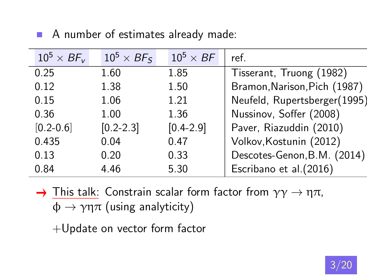| $10^5\times$ BF <sub>v</sub> | $10^5 \times BF_S$ | $10^5 \times BF$ | ref.                         |
|------------------------------|--------------------|------------------|------------------------------|
| 0.25                         | 1.60               | 1.85             | Tisserant, Truong (1982)     |
| 0.12                         | 1.38               | 1.50             | Bramon, Narison, Pich (1987) |
| 0.15                         | 1.06               | 1.21             | Neufeld, Rupertsberger(1995) |
| 0.36                         | 1.00               | 1.36             | Nussinov, Soffer (2008)      |
| $[0.2 - 0.6]$                | $[0.2 - 2.3]$      | $[0.4 - 2.9]$    | Paver, Riazuddin (2010)      |
| 0.435                        | 0.04               | 0.47             | Volkov, Kostunin (2012)      |
| 0.13                         | 0.20               | 0.33             | Descotes-Genon, B.M. (2014)  |
| 0.84                         | 4.46               | 5.30             | Escribano et al.(2016)       |
|                              |                    |                  |                              |

A number of estimates already made:

 $\rightarrow$  This talk: Constrain scalar form factor from  $\gamma\gamma \rightarrow \eta \pi$ ,  $\phi \rightarrow \gamma \eta \pi$  (using analyticity)

+Update on vector form factor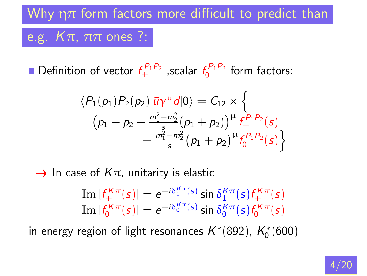# Why  $\eta\pi$  form factors more difficult to predict than e.g.  $K\pi$ ,  $\pi\pi$  ones ?:

Definition of vector  $f_+^{P_1P_2}$  ,scalar  $f_0^{P_1P_2}$  form factors:

$$
\langle P_1(p_1)P_2(p_2)|\bar{u}\gamma^{\mu}d|0\rangle = C_{12} \times \left\{ (p_1 - p_2 - \frac{m_1^2 - m_2^2}{s}(p_1 + p_2))^{\mu} f_+^{P_1 P_2}(s) + \frac{m_1^2 - m_2^2}{s}(p_1 + p_2)^{\mu} f_0^{P_1 P_2}(s) \right\}
$$

 $\rightarrow$  In case of  $K\pi$ , unitarity is elastic

Im 
$$
[f_+^{K\pi}(s)] = e^{-i\delta_0^{K\pi}(s)} \sin \delta_1^{K\pi}(s) f_+^{K\pi}(s)
$$
  
Im  $[f_0^{K\pi}(s)] = e^{-i\delta_0^{K\pi}(s)} \sin \delta_0^{K\pi}(s) f_0^{K\pi}(s)$ 

in energy region of light resonances  $K^{\ast}(892)$ ,  $K_{0}^{\ast}(600)$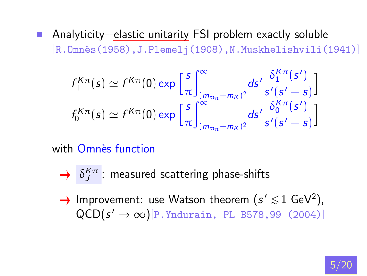Analyticity+elastic unitarity FSI problem exactly soluble  $\mathcal{L}_{\rm{max}}$ [R.Omnès(1958),J.Plemelj(1908),N.Muskhelishvili(1941)]

$$
f_+^{K\pi}(s) \simeq f_+^{K\pi}(0) \exp\left[\frac{s}{\pi}\int_{(m_{m\pi}+m_K)^2}^{\infty} ds' \frac{\delta_1^{K\pi}(s')}{s'(s'-s)}\right]
$$

$$
f_0^{K\pi}(s) \simeq f_+^{K\pi}(0) \exp\left[\frac{s}{\pi}\int_{(m_{m\pi}+m_K)^2}^{\infty} ds' \frac{\delta_0^{K\pi}(s')}{s'(s'-s)}\right]
$$

with Omnès function

- $\delta^{\mathcal{K}\pi}_{J}$  : measured scattering phase-shifts
- Improvement: use Watson theorem  $(s' \lesssim 1 \text{ GeV}^2)$ ,  $\text{QCD}(s' \to \infty)$ [P.Yndurain, PL B578,99 (2004)]

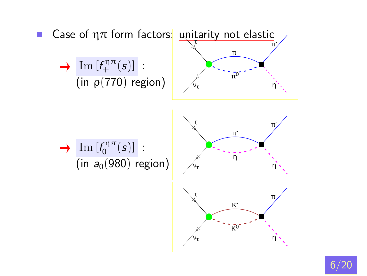

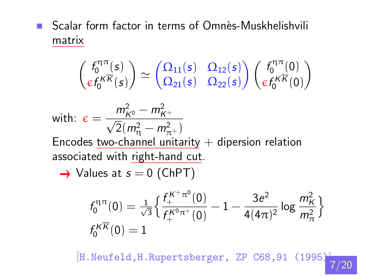$\blacksquare$  Scalar form factor in terms of Omnès-Muskhelishvili matrix

$$
\begin{pmatrix} f_0^{\eta\pi}(s) \\ \varepsilon f_0^{K\overline{K}}(s) \end{pmatrix} \simeq \begin{pmatrix} \Omega_{11}(s) & \Omega_{12}(s) \\ \Omega_{21}(s) & \Omega_{22}(s) \end{pmatrix} \begin{pmatrix} f_0^{\eta\pi}(0) \\ \varepsilon f_0^{K\overline{K}}(0) \end{pmatrix}
$$

with: 
$$
\epsilon = \frac{m_{K^0}^2 - m_{K^+}^2}{\sqrt{2}(m_{\eta}^2 - m_{\pi^+}^2)}
$$

Encodes <u>two-channel unitarity</u>  $+$  dipersion relation associated with right-hand cut.

 $\rightarrow$  Values at  $s = 0$  (ChPT)

$$
\begin{array}{l}f_{0}^{\eta\pi}(0)=\frac{1}{\sqrt{3}}\Big\{\frac{f_{+}^{K^{+}\pi^{0}}(0)}{f_{+}^{K^{0}\pi^{+}}(0)}-1-\frac{3e^{2}}{4(4\pi)^{2}}\log\frac{m_{K}^{2}}{m_{\pi}^{2}}\Big\}\\f_{0}^{K\overline{K}}(0)=1\end{array}
$$

[H.Neufeld,H.Rupertsberger, ZP C68,91 (1995)] [7/2](#page-19-0)0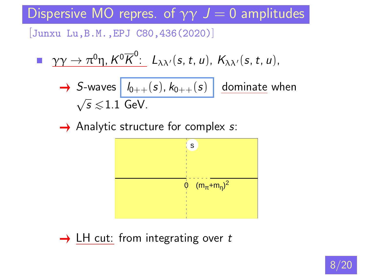Dispersive MO repres. of  $\gamma\gamma$   $J = 0$  amplitudes

[Junxu Lu,B.M.,EPJ C80,436(2020)]

$$
\longrightarrow \gamma \gamma \to \pi^0 \eta, K^0 \overline{K}^0: L_{\lambda \lambda'}(s, t, u), K_{\lambda \lambda'}(s, t, u),
$$

→ S-waves 
$$
\boxed{l_{0++}(s), k_{0++}(s)}
$$
 dominate when  $\sqrt{s} \leq 1.1$  GeV.

 $\rightarrow$  Analytic structure for complex s:



 $\rightarrow$  LH cut: from integrating over t

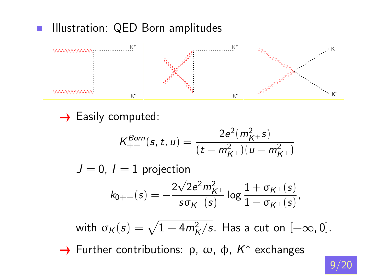### Illustration: QED Born amplitudes



 $\rightarrow$  Easily computed:

$$
K_{++}^{Born}(s, t, u) = \frac{2e^2(m_{K^+}^2 s)}{(t - m_{K^+}^2)(u - m_{K^+}^2)}
$$

 $J = 0$ ,  $I = 1$  projection  $k_{0++}(s) = -\frac{2\sqrt{2}e^2m_{K^+}^2}{2\pi\epsilon^2}$  $\mathop{\mathsf{s\sigma_{K^+}}(\mathsf{s})}$  $\log \frac{1 + \sigma_{K^+}(s)}{1 - \sigma_{K^+}(s)}$  $\frac{1-\sigma_{K^+}(s)}{1-\sigma_{K^+}(s)},$ 

with  $\sigma_K(s) = \sqrt{1 - 4m_K^2/s}$ . Has a cut on  $[-\infty, 0]$ . Further contributions:  $ρ$ ,  $ω$ ,  $φ$ ,  $K^*$  exchanges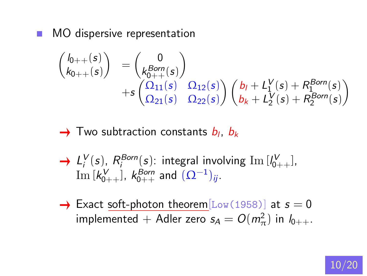MO dispersive representation  $\mathcal{L}_{\mathcal{A}}$ 

$$
\begin{pmatrix}\nI_{0++}(s) \\
k_{0++}(s)\n\end{pmatrix} =\n\begin{pmatrix}\n0 \\
k_{0++}^{Born}(s)\n\end{pmatrix}\n+ s\n\begin{pmatrix}\n\Omega_{11}(s) & \Omega_{12}(s) \\
\Omega_{21}(s) & \Omega_{22}(s)\n\end{pmatrix}\n\begin{pmatrix}\nb_I + L_1^V(s) + R_1^{Born}(s) \\
b_K + L_2^V(s) + R_2^{Born}(s)\n\end{pmatrix}
$$

### Two subtraction constants  $b_l, b_k$

- $L_i^V(s)$ ,  $R_i^{Born}(s)$ : integral involving  $\text{Im } [l_{0++}^V]$ ,  $\text{Im} \left[k_{0++}^{\text{V}}\right]$ ,  $k_{0++}^{\text{Born}}$  and  $\overline{(\Omega^{-1})_{ij}}$ .
- $\rightarrow$  Exact soft-photon theorem  $\text{Low} (1958)$  at  $s = 0$ implemented + Adler zero  $s_A = O(m_\pi^2)$  in  $l_{0++}$ .

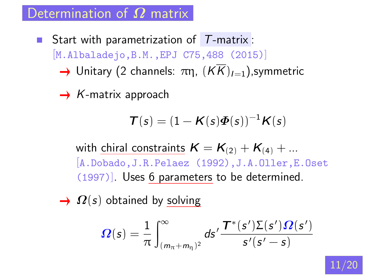Determination of  $\boldsymbol{\varOmega}$  matrix

Start with parametrization of  $T$ -matrix : [M.Albaladejo,B.M.,EPJ C75,488 (2015)]  $\rightarrow$  Unitary (2 channels:  $\pi$ n,  $(K\overline{K})_{I=1}$ ), symmetric

 $\rightarrow$  K-matrix approach

$$
\boldsymbol{\mathcal{T}}(s)=(1-\boldsymbol{\mathcal{K}}(s)\boldsymbol{\Phi}(s))^{-1}\boldsymbol{\mathcal{K}}(s)
$$

with chiral constraints  $K = K_{(2)} + K_{(4)} + ...$ [A.Dobado,J.R.Pelaez (1992),J.A.Oller,E.Oset (1997)]. Uses 6 parameters to be determined.

 $\rightarrow \Omega(s)$  obtained by solving

$$
\boldsymbol{\Omega}(\boldsymbol{s}) = \frac{1}{\pi} \int_{(m_{\pi}+m_{\eta})^2}^{\infty} d\boldsymbol{s}' \frac{\boldsymbol{T}^*(\boldsymbol{s}')\boldsymbol{\Sigma}(\boldsymbol{s}')\boldsymbol{\Omega}(\boldsymbol{s}')}{\boldsymbol{s}'(\boldsymbol{s}'-\boldsymbol{s})}
$$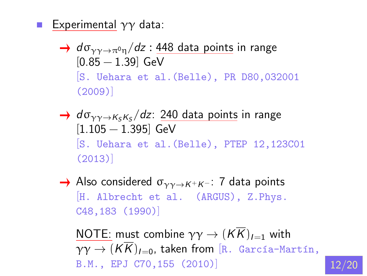- Experimental  $\gamma\gamma$  data:
	- $\rightarrow$  do<sub>vy  $\rightarrow \pi^0 n/dz$  : 448 data points in range</sub>  $[0.85 - 1.39]$  GeV [S. Uehara et al.(Belle), PR D80,032001 (2009)]
	- $d\sigma_{\gamma\gamma\to K_SK_S}/dz$ : 240 data points in range [1.105 − 1.395] GeV [S. Uehara et al.(Belle), PTEP 12,123C01 (2013)]
	- Also considered  $\sigma_{\gamma\gamma\rightarrow K^+K^-}$ : 7 data points [H. Albrecht et al. (ARGUS), Z.Phys. C48,183 (1990)]

NOTE: must combine  $\gamma \gamma \rightarrow (K\overline{K})_{I=1}$  with  $\gamma \gamma \rightarrow (K\overline{K})_{I=0}$ , taken from [R. García-Martín, B.M., EPJ C70,155 (2010)

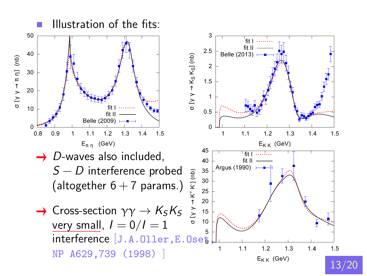

[13/](#page-19-0)20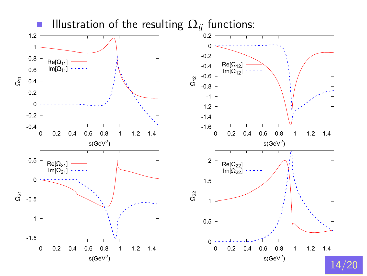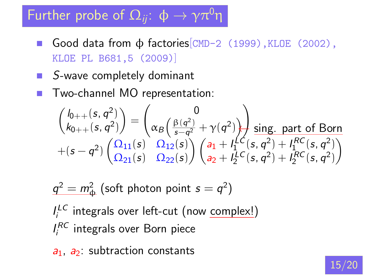# Further probe of  $\Omega_{ii}$ :  $\phi \rightarrow \gamma \pi^0 \eta$

- Good data from  $\phi$  factories  $\text{CMD-2}$  (1999), KLOE (2002), KLOE PL B681,5 (2009)]
- $S$ -wave completely dominant
- Two-channel MO representation:

$$
\begin{pmatrix} I_{0++}(s,q^2) \\ k_{0++}(s,q^2) \end{pmatrix} = \begin{pmatrix} 0 \\ \alpha_B \left( \frac{\beta(q^2)}{s-q^2} + \gamma(q^2) \right) \end{pmatrix} \frac{\text{sing. part of Born}}{\text{sing. part of } \beta \text{or} n}
$$
  
+ $(s-q^2) \begin{pmatrix} \Omega_{11}(s) & \Omega_{12}(s) \\ \Omega_{21}(s) & \Omega_{22}(s) \end{pmatrix} \begin{pmatrix} a_1 + I_1^{\text{LC}}(s,q^2) + I_1^{RC}(s,q^2) \\ a_2 + I_2^{\text{LC}}(s,q^2) + I_2^{RC}(s,q^2) \end{pmatrix}$ 

 $q^2=m^2_\Phi$  (soft photon point  $s=q^2)$  $I_i^{LC}$  integrals over left-cut (now complex!)  $I_i^{RC}$  integrals over Born piece

 $a_1$ ,  $a_2$ : subtraction constants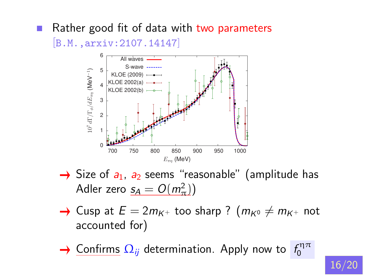#### Rather good fit of data with two parameters

[B.M.,arxiv:2107.14147]



- $\rightarrow$  Size of  $a_1$ ,  $a_2$  seems "reasonable" (amplitude has Adler zero  $s_A = O(m_\pi^2)$
- $\rightarrow$  Cusp at  $E = 2m_{K^{+}}$  too sharp ?  $(m_{K^{0}} \neq m_{K^{+}}$  not accounted for)
- <u>Confirms</u>  $\Omega_{ij}$  determination. Apply now to  $f_0^{\eta\pi}$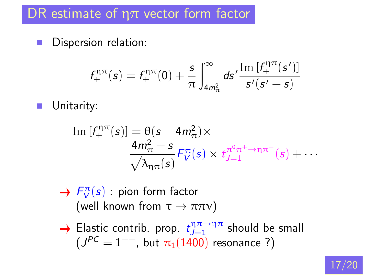# DR estimate of  $\eta\pi$  vector form factor

Dispersion relation:  $\blacksquare$ 

$$
f_+^{\eta\pi}(s) = f_+^{\eta\pi}(0) + \frac{s}{\pi} \int_{4m_{\pi}^2}^{\infty} ds' \frac{\text{Im}[f_+^{\eta\pi}(s')]}{s'(s'-s)}
$$

Unitarity: п

Im 
$$
[f_+^{\eta\pi}(s)]
$$
 =  $\theta(s - 4m_\pi^2) \times$   
\n
$$
\frac{4m_\pi^2 - s}{\sqrt{\lambda_{\eta\pi}(s)}} F_V^{\pi}(s) \times t_{J=1}^{\pi^0\pi^+ \to \eta\pi^+}(s) + \cdots
$$

- $F_V^{\pi}(s)$ : pion form factor (well known from  $\tau \to \pi \pi \nu$ )
- Elastic contrib. prop.  $t_{J=1}^{\eta\pi\to\eta\pi}$  should be small  $(J^{PC}=1^{-+}$ , but  $\pi_1(1400)$  resonance ?)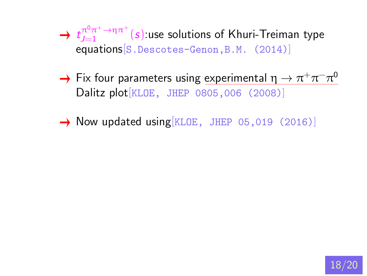<span id="page-17-0"></span> $t_{J=1}^{\pi^0\pi^+\to\eta\pi^+}(s)$ :use solutions of Khuri-Treiman type equations[S.Descotes-Genon,B.M. (2014)]

- Fix four parameters using <u>experimental  $\eta \to \pi^+ \pi^- \pi^0$ </u> Dalitz plot[KLOE, JHEP 0805,006 (2008)]
- $\rightarrow$  Now updated using KLOE, JHEP 05,019 (2016)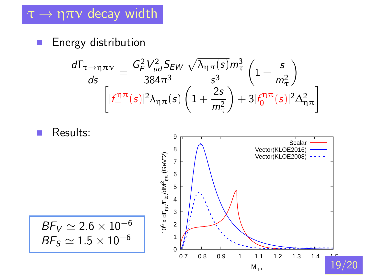## <span id="page-18-0"></span> $\tau \rightarrow \eta \pi \nu$  decay width

Energy distribution  $\Box$ 

$$
\frac{d\Gamma_{\tau\to\eta\pi\nu}}{ds} = \frac{G_F^2 V_{ud}^2 S_{EW}}{384\pi^3} \frac{\sqrt{\lambda_{\eta\pi}(s)} m_{\tau}^3}{s^3} \left(1 - \frac{s}{m_{\tau}^2}\right)
$$

$$
\left[ |f_+^{\eta\pi}(s)|^2 \lambda_{\eta\pi}(s) \left(1 + \frac{2s}{m_{\tau}^2}\right) + 3|f_0^{\eta\pi}(s)|^2 \Delta_{\eta\pi}^2 \right]
$$